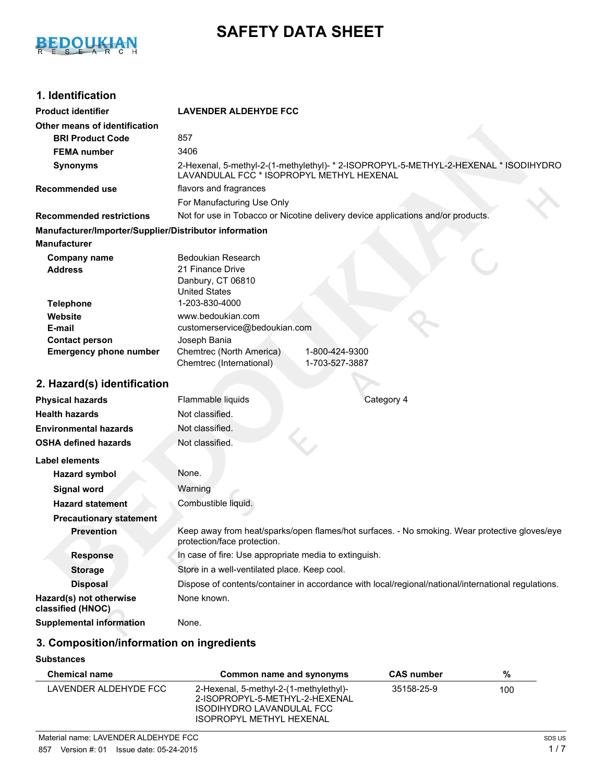

# **SAFETY DATA SHEET**

## **1. Identification**

| <b>Product identifier</b>                              | <b>LAVENDER ALDEHYDE FCC</b>                                                                                                      |  |  |
|--------------------------------------------------------|-----------------------------------------------------------------------------------------------------------------------------------|--|--|
| Other means of identification                          |                                                                                                                                   |  |  |
| <b>BRI Product Code</b>                                | 857                                                                                                                               |  |  |
| <b>FEMA number</b>                                     | 3406                                                                                                                              |  |  |
| <b>Synonyms</b>                                        | 2-Hexenal, 5-methyl-2-(1-methylethyl)- * 2-ISOPROPYL-5-METHYL-2-HEXENAL * ISODIHYDRO<br>LAVANDULAL FCC * ISOPROPYL METHYL HEXENAL |  |  |
| <b>Recommended use</b>                                 | flavors and fragrances                                                                                                            |  |  |
|                                                        | For Manufacturing Use Only                                                                                                        |  |  |
| <b>Recommended restrictions</b>                        | Not for use in Tobacco or Nicotine delivery device applications and/or products.                                                  |  |  |
| Manufacturer/Importer/Supplier/Distributor information |                                                                                                                                   |  |  |
| <b>Manufacturer</b>                                    |                                                                                                                                   |  |  |
| <b>Company name</b><br><b>Address</b>                  | <b>Bedoukian Research</b><br>21 Finance Drive<br>Danbury, CT 06810<br><b>United States</b>                                        |  |  |
| <b>Telephone</b>                                       | 1-203-830-4000                                                                                                                    |  |  |
| Website                                                | www.bedoukian.com                                                                                                                 |  |  |
| E-mail<br><b>Contact person</b>                        | customerservice@bedoukian.com<br>Joseph Bania                                                                                     |  |  |
| <b>Emergency phone number</b>                          | Chemtrec (North America)<br>1-800-424-9300<br>Chemtrec (International)<br>1-703-527-3887                                          |  |  |
| 2. Hazard(s) identification                            |                                                                                                                                   |  |  |
| <b>Physical hazards</b>                                | Flammable liquids<br>Category 4                                                                                                   |  |  |
| <b>Health hazards</b>                                  | Not classified.                                                                                                                   |  |  |
| <b>Environmental hazards</b>                           | Not classified.                                                                                                                   |  |  |
| <b>OSHA defined hazards</b>                            | Not classified.                                                                                                                   |  |  |
| Label elements                                         |                                                                                                                                   |  |  |
| <b>Hazard symbol</b>                                   | None.                                                                                                                             |  |  |
| <b>Signal word</b>                                     | Warning                                                                                                                           |  |  |
| <b>Hazard statement</b>                                | Combustible liquid.                                                                                                               |  |  |
| <b>Precautionary statement</b>                         |                                                                                                                                   |  |  |
| <b>Prevention</b>                                      | Keep away from heat/sparks/open flames/hot surfaces. - No smoking. Wear protective gloves/eye<br>protection/face protection.      |  |  |
| <b>Response</b>                                        | In case of fire: Use appropriate media to extinguish.                                                                             |  |  |
| <b>Storage</b>                                         | Store in a well-ventilated place. Keep cool.                                                                                      |  |  |
| <b>Disposal</b>                                        | Dispose of contents/container in accordance with local/regional/national/international regulations.                               |  |  |
| Hazard(s) not otherwise<br>classified (HNOC)           | None known.                                                                                                                       |  |  |
| <b>Supplemental information</b>                        | None.                                                                                                                             |  |  |

# **3. Composition/information on ingredients**

### **Substances**

| <b>Chemical name</b>  | Common name and synonyms                                                                                                          | <b>CAS number</b> | %   |
|-----------------------|-----------------------------------------------------------------------------------------------------------------------------------|-------------------|-----|
| LAVENDER ALDEHYDE FCC | 2-Hexenal, 5-methyl-2-(1-methylethyl)-<br>2-ISOPROPYL-5-MFTHYL-2-HFXFNAL<br>ISODIHYDRO LAVANDULAL FCC<br>ISOPROPYL METHYL HEXENAL | 35158-25-9        | 100 |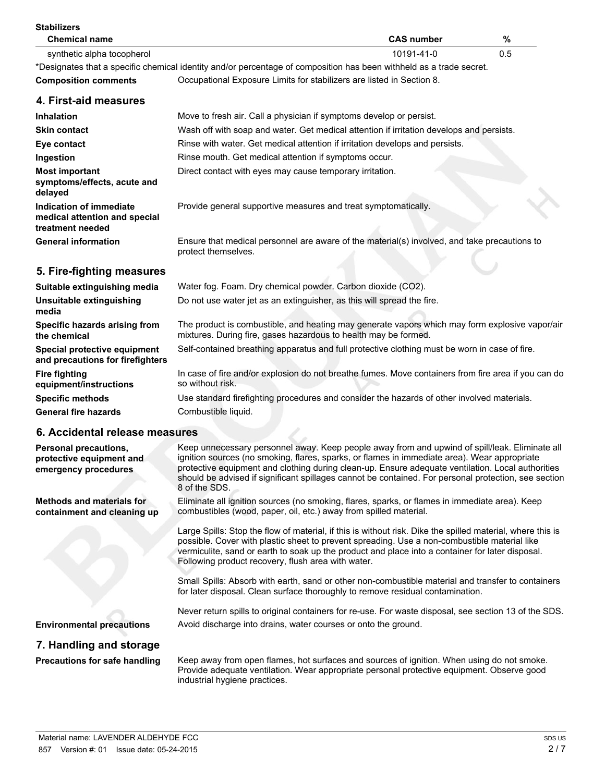| <b>Stabilizers</b><br><b>Chemical name</b>                                       |                                                                        | <b>CAS number</b>                                                                                                                                                                                                                                                                                                                                                                                           | %   |
|----------------------------------------------------------------------------------|------------------------------------------------------------------------|-------------------------------------------------------------------------------------------------------------------------------------------------------------------------------------------------------------------------------------------------------------------------------------------------------------------------------------------------------------------------------------------------------------|-----|
| synthetic alpha tocopherol                                                       |                                                                        | 10191-41-0                                                                                                                                                                                                                                                                                                                                                                                                  | 0.5 |
| <b>Composition comments</b>                                                      | Occupational Exposure Limits for stabilizers are listed in Section 8.  | *Designates that a specific chemical identity and/or percentage of composition has been withheld as a trade secret.                                                                                                                                                                                                                                                                                         |     |
| 4. First-aid measures                                                            |                                                                        |                                                                                                                                                                                                                                                                                                                                                                                                             |     |
| <b>Inhalation</b>                                                                | Move to fresh air. Call a physician if symptoms develop or persist.    |                                                                                                                                                                                                                                                                                                                                                                                                             |     |
| <b>Skin contact</b>                                                              |                                                                        | Wash off with soap and water. Get medical attention if irritation develops and persists.                                                                                                                                                                                                                                                                                                                    |     |
| Eye contact                                                                      |                                                                        | Rinse with water. Get medical attention if irritation develops and persists.                                                                                                                                                                                                                                                                                                                                |     |
| Ingestion                                                                        | Rinse mouth. Get medical attention if symptoms occur.                  |                                                                                                                                                                                                                                                                                                                                                                                                             |     |
| <b>Most important</b><br>symptoms/effects, acute and<br>delayed                  | Direct contact with eyes may cause temporary irritation.               |                                                                                                                                                                                                                                                                                                                                                                                                             |     |
| Indication of immediate<br>medical attention and special<br>treatment needed     | Provide general supportive measures and treat symptomatically.         |                                                                                                                                                                                                                                                                                                                                                                                                             |     |
| <b>General information</b>                                                       | protect themselves.                                                    | Ensure that medical personnel are aware of the material(s) involved, and take precautions to                                                                                                                                                                                                                                                                                                                |     |
| 5. Fire-fighting measures                                                        |                                                                        |                                                                                                                                                                                                                                                                                                                                                                                                             |     |
| Suitable extinguishing media                                                     | Water fog. Foam. Dry chemical powder. Carbon dioxide (CO2).            |                                                                                                                                                                                                                                                                                                                                                                                                             |     |
| Unsuitable extinguishing<br>media                                                | Do not use water jet as an extinguisher, as this will spread the fire. |                                                                                                                                                                                                                                                                                                                                                                                                             |     |
| Specific hazards arising from<br>the chemical                                    | mixtures. During fire, gases hazardous to health may be formed.        | The product is combustible, and heating may generate vapors which may form explosive vapor/air                                                                                                                                                                                                                                                                                                              |     |
| Special protective equipment<br>and precautions for firefighters                 |                                                                        | Self-contained breathing apparatus and full protective clothing must be worn in case of fire.                                                                                                                                                                                                                                                                                                               |     |
| <b>Fire fighting</b><br>equipment/instructions                                   | so without risk.                                                       | In case of fire and/or explosion do not breathe fumes. Move containers from fire area if you can do                                                                                                                                                                                                                                                                                                         |     |
| <b>Specific methods</b>                                                          |                                                                        | Use standard firefighting procedures and consider the hazards of other involved materials.                                                                                                                                                                                                                                                                                                                  |     |
| <b>General fire hazards</b>                                                      | Combustible liquid.                                                    |                                                                                                                                                                                                                                                                                                                                                                                                             |     |
| 6. Accidental release measures                                                   |                                                                        |                                                                                                                                                                                                                                                                                                                                                                                                             |     |
| <b>Personal precautions,</b><br>protective equipment and<br>emergency procedures | 8 of the SDS.                                                          | Keep unnecessary personnel away. Keep people away from and upwind of spill/leak. Eliminate all<br>ignition sources (no smoking, flares, sparks, or flames in immediate area). Wear appropriate<br>protective equipment and clothing during clean-up. Ensure adequate ventilation. Local authorities<br>should be advised if significant spillages cannot be contained. For personal protection, see section |     |
| <b>Methods and materials for</b><br>containment and cleaning up                  | combustibles (wood, paper, oil, etc.) away from spilled material.      | Eliminate all ignition sources (no smoking, flares, sparks, or flames in immediate area). Keep                                                                                                                                                                                                                                                                                                              |     |
|                                                                                  | Following product recovery, flush area with water.                     | Large Spills: Stop the flow of material, if this is without risk. Dike the spilled material, where this is<br>possible. Cover with plastic sheet to prevent spreading. Use a non-combustible material like<br>vermiculite, sand or earth to soak up the product and place into a container for later disposal.                                                                                              |     |
|                                                                                  |                                                                        | Small Spills: Absorb with earth, sand or other non-combustible material and transfer to containers<br>for later disposal. Clean surface thoroughly to remove residual contamination.                                                                                                                                                                                                                        |     |
|                                                                                  |                                                                        | Never return spills to original containers for re-use. For waste disposal, see section 13 of the SDS.                                                                                                                                                                                                                                                                                                       |     |
| <b>Environmental precautions</b>                                                 | Avoid discharge into drains, water courses or onto the ground.         |                                                                                                                                                                                                                                                                                                                                                                                                             |     |
| 7. Handling and storage                                                          |                                                                        |                                                                                                                                                                                                                                                                                                                                                                                                             |     |
| <b>Precautions for safe handling</b>                                             | industrial hygiene practices.                                          | Keep away from open flames, hot surfaces and sources of ignition. When using do not smoke.<br>Provide adequate ventilation. Wear appropriate personal protective equipment. Observe good                                                                                                                                                                                                                    |     |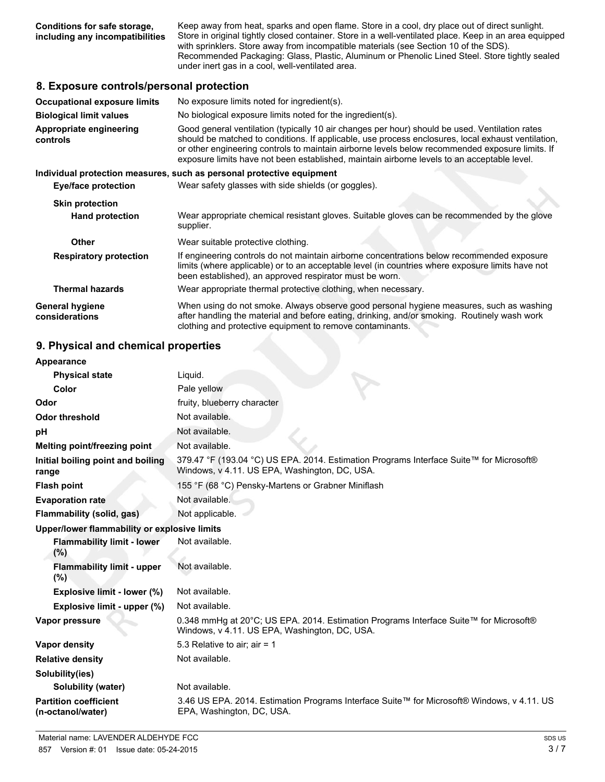**Conditions for safe storage, including any incompatibilities** Keep away from heat, sparks and open flame. Store in a cool, dry place out of direct sunlight. Store in original tightly closed container. Store in a well-ventilated place. Keep in an area equipped with sprinklers. Store away from incompatible materials (see Section 10 of the SDS). Recommended Packaging: Glass, Plastic, Aluminum or Phenolic Lined Steel. Store tightly sealed under inert gas in a cool, well-ventilated area.

#### **8. Exposure controls/personal protection**

| <b>Occupational exposure limits</b>      | No exposure limits noted for ingredient(s).                                                                                                                                                                                                                                                                                                                                                            |  |
|------------------------------------------|--------------------------------------------------------------------------------------------------------------------------------------------------------------------------------------------------------------------------------------------------------------------------------------------------------------------------------------------------------------------------------------------------------|--|
| <b>Biological limit values</b>           | No biological exposure limits noted for the ingredient(s).                                                                                                                                                                                                                                                                                                                                             |  |
| Appropriate engineering<br>controls      | Good general ventilation (typically 10 air changes per hour) should be used. Ventilation rates<br>should be matched to conditions. If applicable, use process enclosures, local exhaust ventilation,<br>or other engineering controls to maintain airborne levels below recommended exposure limits. If<br>exposure limits have not been established, maintain airborne levels to an acceptable level. |  |
|                                          | Individual protection measures, such as personal protective equipment                                                                                                                                                                                                                                                                                                                                  |  |
| Eye/face protection                      | Wear safety glasses with side shields (or goggles).                                                                                                                                                                                                                                                                                                                                                    |  |
| <b>Skin protection</b>                   |                                                                                                                                                                                                                                                                                                                                                                                                        |  |
| <b>Hand protection</b>                   | Wear appropriate chemical resistant gloves. Suitable gloves can be recommended by the glove<br>supplier.                                                                                                                                                                                                                                                                                               |  |
| Other                                    | Wear suitable protective clothing.                                                                                                                                                                                                                                                                                                                                                                     |  |
| <b>Respiratory protection</b>            | If engineering controls do not maintain airborne concentrations below recommended exposure<br>limits (where applicable) or to an acceptable level (in countries where exposure limits have not<br>been established), an approved respirator must be worn.                                                                                                                                              |  |
| <b>Thermal hazards</b>                   | Wear appropriate thermal protective clothing, when necessary.                                                                                                                                                                                                                                                                                                                                          |  |
| <b>General hygiene</b><br>considerations | When using do not smoke. Always observe good personal hygiene measures, such as washing<br>after handling the material and before eating, drinking, and/or smoking. Routinely wash work<br>clothing and protective equipment to remove contaminants.                                                                                                                                                   |  |

#### **9. Physical and chemical properties**

| Appearance                                        |                                                                                                                                          |
|---------------------------------------------------|------------------------------------------------------------------------------------------------------------------------------------------|
| <b>Physical state</b>                             | Liquid.                                                                                                                                  |
| Color                                             | Pale yellow                                                                                                                              |
| Odor                                              | fruity, blueberry character                                                                                                              |
| <b>Odor threshold</b>                             | Not available.                                                                                                                           |
| рH                                                | Not available.                                                                                                                           |
| Melting point/freezing point                      | Not available.                                                                                                                           |
| Initial boiling point and boiling<br>range        | 379.47 °F (193.04 °C) US EPA. 2014. Estimation Programs Interface Suite™ for Microsoft®<br>Windows, v 4.11. US EPA, Washington, DC, USA. |
| <b>Flash point</b>                                | 155 °F (68 °C) Pensky-Martens or Grabner Miniflash                                                                                       |
| <b>Evaporation rate</b>                           | Not available.                                                                                                                           |
| Flammability (solid, gas)                         | Not applicable.                                                                                                                          |
| Upper/lower flammability or explosive limits      |                                                                                                                                          |
| <b>Flammability limit - lower</b><br>(%)          | Not available.                                                                                                                           |
| <b>Flammability limit - upper</b><br>$(\% )$      | Not available.                                                                                                                           |
| Explosive limit - lower (%)                       | Not available.                                                                                                                           |
| Explosive limit - upper (%)                       | Not available.                                                                                                                           |
| Vapor pressure                                    | 0.348 mmHg at 20°C; US EPA. 2014. Estimation Programs Interface Suite™ for Microsoft®<br>Windows, v 4.11. US EPA, Washington, DC, USA.   |
| <b>Vapor density</b>                              | 5.3 Relative to air; air = $1$                                                                                                           |
| <b>Relative density</b>                           | Not available.                                                                                                                           |
| Solubility(ies)                                   |                                                                                                                                          |
| Solubility (water)                                | Not available.                                                                                                                           |
| <b>Partition coefficient</b><br>(n-octanol/water) | 3.46 US EPA. 2014. Estimation Programs Interface Suite™ for Microsoft® Windows, v 4.11. US<br>EPA, Washington, DC, USA.                  |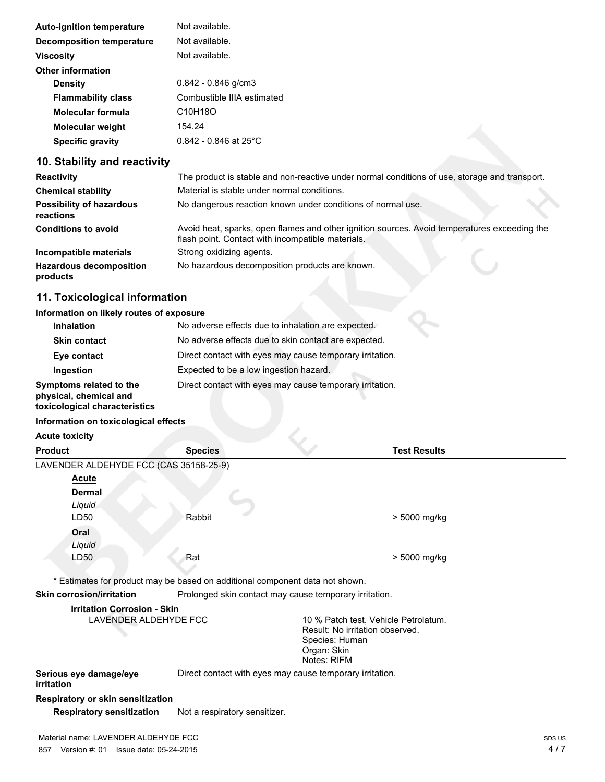| <b>Auto-ignition temperature</b> | Not available.                     |
|----------------------------------|------------------------------------|
| <b>Decomposition temperature</b> | Not available.                     |
| <b>Viscosity</b>                 | Not available.                     |
| Other information                |                                    |
| <b>Density</b>                   | $0.842 - 0.846$ g/cm3              |
| <b>Flammability class</b>        | Combustible IIIA estimated         |
| <b>Molecular formula</b>         | C <sub>10</sub> H <sub>18</sub> O  |
| <b>Molecular weight</b>          | 154.24                             |
| <b>Specific gravity</b>          | $0.842 - 0.846$ at 25 $^{\circ}$ C |

## **10. Stability and reactivity**

| <b>Reactivity</b>                            | The product is stable and non-reactive under normal conditions of use, storage and transport.                                                     |
|----------------------------------------------|---------------------------------------------------------------------------------------------------------------------------------------------------|
| <b>Chemical stability</b>                    | Material is stable under normal conditions.                                                                                                       |
| <b>Possibility of hazardous</b><br>reactions | No dangerous reaction known under conditions of normal use.                                                                                       |
| <b>Conditions to avoid</b>                   | Avoid heat, sparks, open flames and other ignition sources. Avoid temperatures exceeding the<br>flash point. Contact with incompatible materials. |
| Incompatible materials                       | Strong oxidizing agents.                                                                                                                          |
| <b>Hazardous decomposition</b><br>products   | No hazardous decomposition products are known.                                                                                                    |

## **11. Toxicological information**

#### **Information on likely routes of exposure**

| <b>Inhalation</b>                                                                  | No adverse effects due to inhalation are expected.       |
|------------------------------------------------------------------------------------|----------------------------------------------------------|
| <b>Skin contact</b>                                                                | No adverse effects due to skin contact are expected.     |
| Eye contact                                                                        | Direct contact with eyes may cause temporary irritation. |
| Ingestion                                                                          | Expected to be a low ingestion hazard.                   |
| Symptoms related to the<br>physical, chemical and<br>toxicological characteristics | Direct contact with eyes may cause temporary irritation. |

#### **Information on toxicological effects**

| <b>Product</b>                         | <b>Species</b> | <b>Test Results</b> |
|----------------------------------------|----------------|---------------------|
| <b>Acute toxicity</b>                  |                |                     |
| <b>INTERNATIONAL CONTROLLER CHOCKS</b> |                |                     |

| LAVENDER ALDEHYDE FCC (CAS 35158-25-9)                                       |                                                        |                                                                                                                         |
|------------------------------------------------------------------------------|--------------------------------------------------------|-------------------------------------------------------------------------------------------------------------------------|
| <b>Acute</b>                                                                 |                                                        |                                                                                                                         |
| <b>Dermal</b><br>Liquid<br>LD50                                              | Rabbit                                                 | > 5000 mg/kg                                                                                                            |
| Oral<br>Liquid                                                               |                                                        |                                                                                                                         |
| LD <sub>50</sub>                                                             | Rat                                                    | > 5000 mg/kg                                                                                                            |
| * Estimates for product may be based on additional component data not shown. |                                                        |                                                                                                                         |
| <b>Skin corrosion/irritation</b>                                             | Prolonged skin contact may cause temporary irritation. |                                                                                                                         |
| <b>Irritation Corrosion - Skin</b><br>LAVENDER ALDEHYDE FCC                  |                                                        | 10 % Patch test, Vehicle Petrolatum.<br>Result: No irritation observed.<br>Species: Human<br>Organ: Skin<br>Notes: RIFM |
| Serious eye damage/eye<br><i>irritation</i>                                  |                                                        | Direct contact with eyes may cause temporary irritation.                                                                |
| <b>Respiratory or skin sensitization</b>                                     |                                                        |                                                                                                                         |

**Respiratory sensitization** Not a respiratory sensitizer.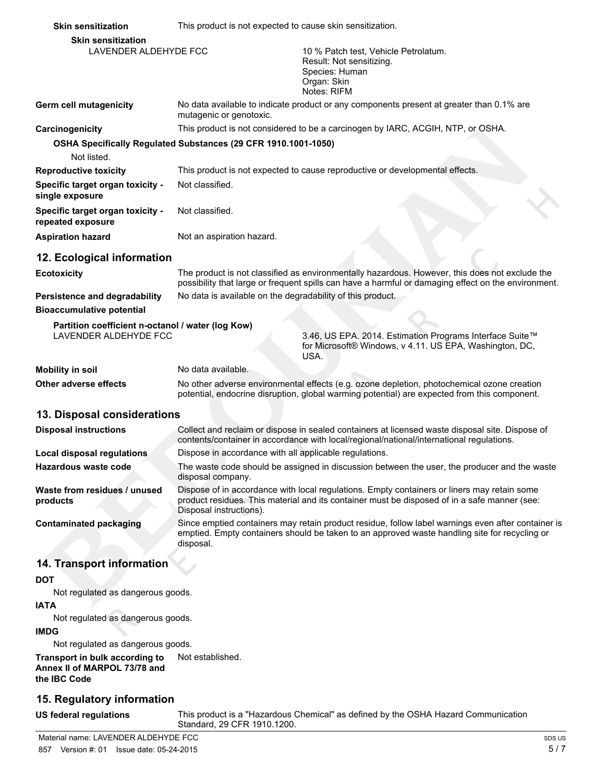| <b>Skin sensitization</b>                                                      | This product is not expected to cause skin sensitization.      |                                                                                                                                                                                                       |
|--------------------------------------------------------------------------------|----------------------------------------------------------------|-------------------------------------------------------------------------------------------------------------------------------------------------------------------------------------------------------|
| <b>Skin sensitization</b>                                                      |                                                                |                                                                                                                                                                                                       |
| LAVENDER ALDEHYDE FCC                                                          |                                                                | 10 % Patch test, Vehicle Petrolatum.<br>Result: Not sensitizing.<br>Species: Human<br>Organ: Skin<br>Notes: RIFM                                                                                      |
| Germ cell mutagenicity                                                         | mutagenic or genotoxic.                                        | No data available to indicate product or any components present at greater than 0.1% are                                                                                                              |
| Carcinogenicity                                                                |                                                                | This product is not considered to be a carcinogen by IARC, ACGIH, NTP, or OSHA.                                                                                                                       |
| Not listed.                                                                    | OSHA Specifically Regulated Substances (29 CFR 1910.1001-1050) |                                                                                                                                                                                                       |
| <b>Reproductive toxicity</b>                                                   |                                                                | This product is not expected to cause reproductive or developmental effects.                                                                                                                          |
| Specific target organ toxicity -<br>single exposure                            | Not classified.                                                |                                                                                                                                                                                                       |
| Specific target organ toxicity -<br>repeated exposure                          | Not classified.                                                |                                                                                                                                                                                                       |
| <b>Aspiration hazard</b>                                                       | Not an aspiration hazard.                                      |                                                                                                                                                                                                       |
| 12. Ecological information                                                     |                                                                |                                                                                                                                                                                                       |
| <b>Ecotoxicity</b>                                                             |                                                                | The product is not classified as environmentally hazardous. However, this does not exclude the<br>possibility that large or frequent spills can have a harmful or damaging effect on the environment. |
| Persistence and degradability                                                  | No data is available on the degradability of this product.     |                                                                                                                                                                                                       |
| <b>Bioaccumulative potential</b>                                               |                                                                |                                                                                                                                                                                                       |
| Partition coefficient n-octanol / water (log Kow)<br>LAVENDER ALDEHYDE FCC     |                                                                | 3.46, US EPA. 2014. Estimation Programs Interface Suite™<br>for Microsoft® Windows, v 4.11. US EPA, Washington, DC,<br>USA.                                                                           |
| <b>Mobility in soil</b>                                                        | No data available.                                             |                                                                                                                                                                                                       |
| Other adverse effects                                                          |                                                                | No other adverse environmental effects (e.g. ozone depletion, photochemical ozone creation<br>potential, endocrine disruption, global warming potential) are expected from this component.            |
| 13. Disposal considerations                                                    |                                                                |                                                                                                                                                                                                       |
| <b>Disposal instructions</b>                                                   |                                                                | Collect and reclaim or dispose in sealed containers at licensed waste disposal site. Dispose of<br>contents/container in accordance with local/regional/national/international regulations.           |
| <b>Local disposal requiations</b>                                              | Dispose in accordance with all applicable regulations.         |                                                                                                                                                                                                       |
| Hazardous waste code                                                           | disposal company.                                              | The waste code should be assigned in discussion between the user, the producer and the waste                                                                                                          |
| Waste from residues / unused<br>products                                       | Disposal instructions).                                        | Dispose of in accordance with local regulations. Empty containers or liners may retain some<br>product residues. This material and its container must be disposed of in a safe manner (see:           |
| <b>Contaminated packaging</b>                                                  | disposal.                                                      | Since emptied containers may retain product residue, follow label warnings even after container is<br>emptied. Empty containers should be taken to an approved waste handling site for recycling or   |
| 14. Transport information                                                      |                                                                |                                                                                                                                                                                                       |
| <b>DOT</b>                                                                     |                                                                |                                                                                                                                                                                                       |
| Not regulated as dangerous goods.<br><b>IATA</b>                               |                                                                |                                                                                                                                                                                                       |
| Not regulated as dangerous goods.<br><b>IMDG</b>                               |                                                                |                                                                                                                                                                                                       |
| Not regulated as dangerous goods.                                              |                                                                |                                                                                                                                                                                                       |
| Transport in bulk according to<br>Annex II of MARPOL 73/78 and<br>the IBC Code | Not established.                                               |                                                                                                                                                                                                       |

# **15. Regulatory information**

**US federal regulations** This product is a "Hazardous Chemical" as defined by the OSHA Hazard Communication Standard, 29 CFR 1910.1200.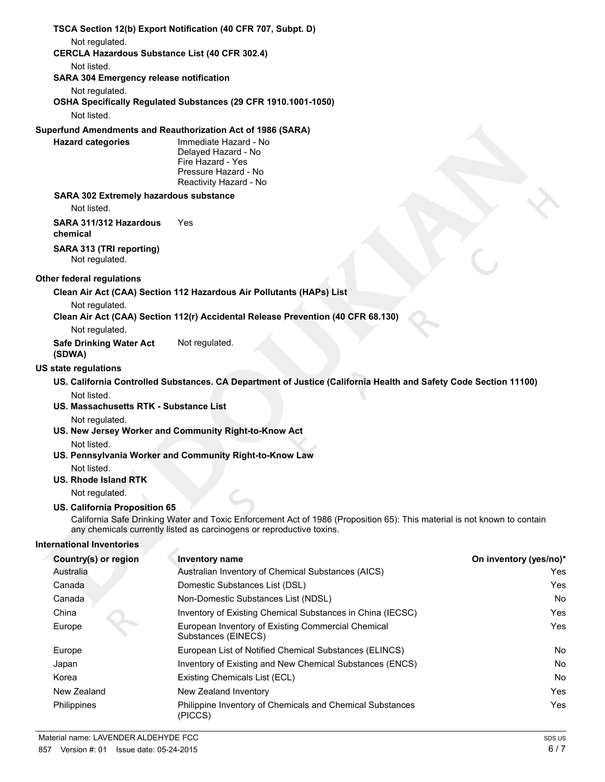**TSCA Section 12(b) Export Notification (40 CFR 707, Subpt. D)** Not regulated. **CERCLA Hazardous Substance List (40 CFR 302.4)** Not listed. **SARA 304 Emergency release notification** Not regulated. **OSHA Specifically Regulated Substances (29 CFR 1910.1001-1050)** Not listed. **Superfund Amendments and Reauthorization Act of 1986 (SARA) Hazard categories** Immediate Hazard - No Delayed Hazard - No Fire Hazard - Yes Pressure Hazard - No Reactivity Hazard - No **SARA 302 Extremely hazardous substance** Not listed. **SARA 311/312 Hazardous chemical** Yes **SARA 313 (TRI reporting)** Not regulated. **Other federal regulations Clean Air Act (CAA) Section 112 Hazardous Air Pollutants (HAPs) List** Not regulated. **Clean Air Act (CAA) Section 112(r) Accidental Release Prevention (40 CFR 68.130)** Not regulated. **Safe Drinking Water Act (SDWA)** Not regulated. **US state regulations US. California Controlled Substances. CA Department of Justice (California Health and Safety Code Section 11100)** Not listed. **US. Massachusetts RTK - Substance List** Not regulated. **US. New Jersey Worker and Community Right-to-Know Act** Not listed. **US. Pennsylvania Worker and Community Right-to-Know Law** Not listed. **US. Rhode Island RTK** Not regulated. **US. California Proposition 65** California Safe Drinking Water and Toxic Enforcement Act of 1986 (Proposition 65): This material is not known to contain any chemicals currently listed as carcinogens or reproductive toxins. **International Inventories Country(s) or region Inventory name <b>Inventory name On inventory (yes/no)\*** Australia Australian Inventory of Chemical Substances (AICS) Yes Canada Domestic Substances List (DSL) Yes Canada Non-Domestic Substances List (NDSL) No China Inventory of Existing Chemical Substances in China (IECSC) Yes Europe **European Inventory of Existing Commercial Chemical Chemical Chemical Yes** Substances (EINECS) Europe **European List of Notified Chemical Substances (ELINCS)** No Japan **Inventory of Existing and New Chemical Substances (ENCS)** No No Korea **Existing Chemicals List (ECL)** No and the existing Chemicals List (ECL) No and the existence of the existing Chemicals List (ECL) No and the existence of the existence of the existence of the existence of the existe New Zealand New Zealand Inventory **New York 1988** New Yes

Philippines Philippine Inventory of Chemicals and Chemical Substances Yes

(PICCS)